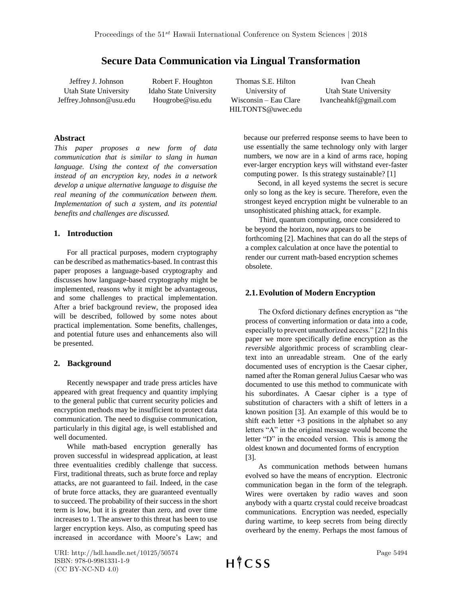# **Secure Data Communication via Lingual Transformation**

Jeffrey J. Johnson Utah State University Jeffrey.Johnson@usu.edu

Robert F. Houghton Idaho State University Hougrobe@isu.edu

Thomas S.E. Hilton University of Wisconsin – Eau Clare HILTONTS@uwec.edu

Ivan Cheah Utah State University Ivancheahkf@gmail.com

### **Abstract**

*This paper proposes a new form of data communication that is similar to slang in human language. Using the context of the conversation instead of an encryption key, nodes in a network develop a unique alternative language to disguise the real meaning of the communication between them. Implementation of such a system, and its potential benefits and challenges are discussed.* 

### **1. Introduction**

For all practical purposes, modern cryptography can be described as mathematics-based. In contrast this paper proposes a language-based cryptography and discusses how language-based cryptography might be implemented, reasons why it might be advantageous, and some challenges to practical implementation. After a brief background review, the proposed idea will be described, followed by some notes about practical implementation. Some benefits, challenges, and potential future uses and enhancements also will be presented.

## **2. Background**

Recently newspaper and trade press articles have appeared with great frequency and quantity implying to the general public that current security policies and encryption methods may be insufficient to protect data communication. The need to disguise communication, particularly in this digital age, is well established and well documented.

While math-based encryption generally has proven successful in widespread application, at least three eventualities credibly challenge that success. First, traditional threats, such as brute force and replay attacks, are not guaranteed to fail. Indeed, in the case of brute force attacks, they are guaranteed eventually to succeed. The probability of their success in the short term is low, but it is greater than zero, and over time increases to 1. The answer to this threat has been to use larger encryption keys. Also, as computing speed has increased in accordance with Moore's Law; and

because our preferred response seems to have been to use essentially the same technology only with larger numbers, we now are in a kind of arms race, hoping ever-larger encryption keys will withstand ever-faster computing power. Is this strategy sustainable? [1]

Second, in all keyed systems the secret is secure only so long as the key is secure. Therefore, even the strongest keyed encryption might be vulnerable to an unsophisticated phishing attack, for example.

Third, quantum computing, once considered to be beyond the horizon, now appears to be forthcoming [2]. Machines that can do all the steps of a complex calculation at once have the potential to render our current math-based encryption schemes obsolete.

## **2.1.Evolution of Modern Encryption**

The Oxford dictionary defines encryption as "the process of converting information or data into a code, especially to prevent unauthorized access." [22] In this paper we more specifically define encryption as the *reversible* algorithmic process of scrambling cleartext into an unreadable stream. One of the early documented uses of encryption is the Caesar cipher, named after the Roman general Julius Caesar who was documented to use this method to communicate with his subordinates. A Caesar cipher is a type of substitution of characters with a shift of letters in a known position [3]. An example of this would be to shift each letter  $+3$  positions in the alphabet so any letters "A" in the original message would become the letter "D" in the encoded version. This is among the oldest known and documented forms of encryption [3].

As communication methods between humans evolved so have the means of encryption. Electronic communication began in the form of the telegraph. Wires were overtaken by radio waves and soon anybody with a quartz crystal could receive broadcast communications. Encryption was needed, especially during wartime, to keep secrets from being directly overheard by the enemy. Perhaps the most famous of

URI: http://hdl.handle.net/10125/50574 ISBN: 978-0-9981331-1-9 (CC BY-NC-ND 4.0)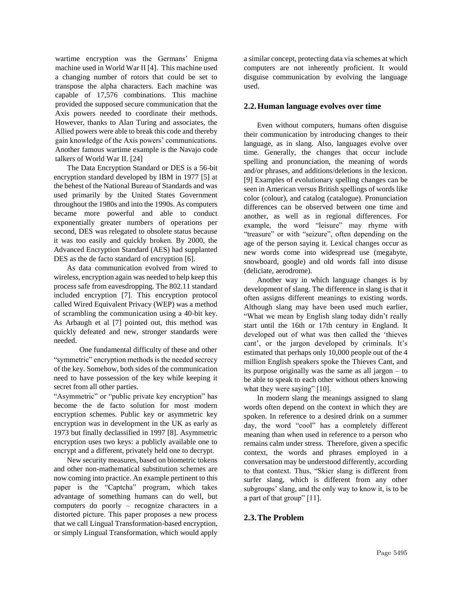wartime encryption was the Germans' Enigma machine used in World War II [4]. This machine used a changing number of rotors that could be set to transpose the alpha characters. Each machine was capable of 17,576 combinations. This machine provided the supposed secure communication that the Axis powers needed to coordinate their methods. However, thanks to Alan Turing and associates, the Allied powers were able to break this code and thereby gain knowledge of the Axis powers' communications. Another famous wartime example is the Navajo code talkers of World War II. [24]

The Data Encryption Standard or DES is a 56-bit encryption standard developed by IBM in 1977 [5] at the behest of the National Bureau of Standards and was used primarily by the United States Government throughout the 1980s and into the 1990s. As computers became more powerful and able to conduct exponentially greater numbers of operations per second, DES was relegated to obsolete status because it was too easily and quickly broken. By 2000, the Advanced Encryption Standard (AES) had supplanted DES as the de facto standard of encryption [6].

As data communication evolved from wired to wireless, encryption again was needed to help keep this process safe from eavesdropping. The 802.11 standard included encryption [7]. This encryption protocol called Wired Equivalent Privacy (WEP) was a method of scrambling the communication using a 40-bit key. As Arbaugh et al [7] pointed out, this method was quickly defeated and new, stronger standards were needed.

One fundamental difficulty of these and other "symmetric" encryption methods is the needed secrecy of the key. Somehow, both sides of the communication need to have possession of the key while keeping it secret from all other parties.

"Asymmetric" or "public private key encryption" has become the de facto solution for most modern encryption schemes. Public key or asymmetric key encryption was in development in the UK as early as 1973 but finally declassified in 1997 [8]. Asymmetric encryption uses two keys: a publicly available one to encrypt and a different, privately held one to decrypt.

New security measures, based on biometric tokens and other non-mathematical substitution schemes are now coming into practice. An example pertinent to this paper is the "Captcha" program, which takes advantage of something humans can do well, but computers do poorly – recognize characters in a distorted picture. This paper proposes a new process that we call Lingual Transformation-based encryption, or simply Lingual Transformation, which would apply a similar concept, protecting data via schemes at which computers are not inherently proficient. It would disguise communication by evolving the language used.

### **2.2.Human language evolves over time**

Even without computers, humans often disguise their communication by introducing changes to their language, as in slang. Also, languages evolve over time. Generally, the changes that occur include spelling and pronunciation, the meaning of words and/or phrases, and additions/deletions in the lexicon. [9] Examples of evolutionary spelling changes can be seen in American versus British spellings of words like color (colour), and catalog (catalogue). Pronunciation differences can be observed between one time and another, as well as in regional differences. For example, the word "leisure" may rhyme with "treasure" or with "seizure", often depending on the age of the person saying it. Lexical changes occur as new words come into widespread use (megabyte, snowboard, google) and old words fall into disuse (deliciate, aerodrome).

Another way in which language changes is by development of slang. The difference in slang is that it often assigns different meanings to existing words. Although slang may have been used much earlier, "What we mean by English slang today didn't really start until the 16th or 17th century in England. It developed out of what was then called the 'thieves cant', or the jargon developed by criminals. It's estimated that perhaps only 10,000 people out of the 4 million English speakers spoke the Thieves Cant, and its purpose originally was the same as all jargon – to be able to speak to each other without others knowing what they were saying" [10].

In modern slang the meanings assigned to slang words often depend on the context in which they are spoken. In reference to a desired drink on a summer day, the word "cool" has a completely different meaning than when used in reference to a person who remains calm under stress. Therefore, given a specific context, the words and phrases employed in a conversation may be understood differently, according to that context. Thus, "Skier slang is different from surfer slang, which is different from any other subgroups' slang, and the only way to know it, is to be a part of that group" [11].

#### **2.3.The Problem**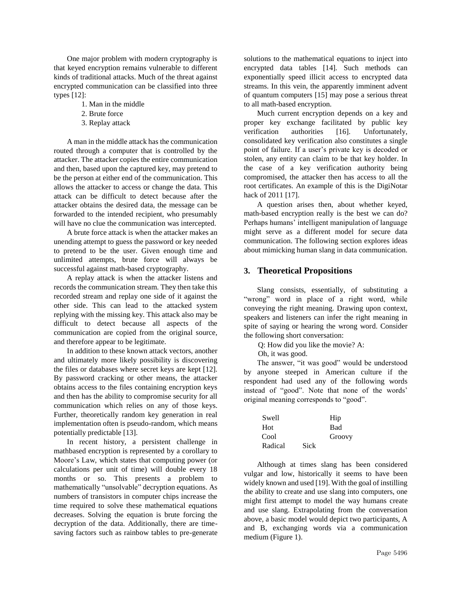One major problem with modern cryptography is that keyed encryption remains vulnerable to different kinds of traditional attacks. Much of the threat against encrypted communication can be classified into three types [12]:

- 1. Man in the middle
- 2. Brute force
- 3. Replay attack

A man in the middle attack has the communication routed through a computer that is controlled by the attacker. The attacker copies the entire communication and then, based upon the captured key, may pretend to be the person at either end of the communication. This allows the attacker to access or change the data. This attack can be difficult to detect because after the attacker obtains the desired data, the message can be forwarded to the intended recipient, who presumably will have no clue the communication was intercepted.

A brute force attack is when the attacker makes an unending attempt to guess the password or key needed to pretend to be the user. Given enough time and unlimited attempts, brute force will always be successful against math-based cryptography.

A replay attack is when the attacker listens and records the communication stream. They then take this recorded stream and replay one side of it against the other side. This can lead to the attacked system replying with the missing key. This attack also may be difficult to detect because all aspects of the communication are copied from the original source, and therefore appear to be legitimate.

In addition to these known attack vectors, another and ultimately more likely possibility is discovering the files or databases where secret keys are kept [12]. By password cracking or other means, the attacker obtains access to the files containing encryption keys and then has the ability to compromise security for all communication which relies on any of those keys. Further, theoretically random key generation in real implementation often is pseudo-random, which means potentially predictable [13].

In recent history, a persistent challenge in mathbased encryption is represented by a corollary to Moore's Law, which states that computing power (or calculations per unit of time) will double every 18 months or so. This presents a problem to mathematically "unsolvable" decryption equations. As numbers of transistors in computer chips increase the time required to solve these mathematical equations decreases. Solving the equation is brute forcing the decryption of the data. Additionally, there are timesaving factors such as rainbow tables to pre-generate solutions to the mathematical equations to inject into encrypted data tables [14]. Such methods can exponentially speed illicit access to encrypted data streams. In this vein, the apparently imminent advent of quantum computers [15] may pose a serious threat to all math-based encryption.

Much current encryption depends on a key and proper key exchange facilitated by public key verification authorities [16]. Unfortunately, consolidated key verification also constitutes a single point of failure. If a user's private key is decoded or stolen, any entity can claim to be that key holder. In the case of a key verification authority being compromised, the attacker then has access to all the root certificates. An example of this is the DigiNotar hack of 2011 [17].

A question arises then, about whether keyed, math-based encryption really is the best we can do? Perhaps humans' intelligent manipulation of language might serve as a different model for secure data communication. The following section explores ideas about mimicking human slang in data communication.

## **3. Theoretical Propositions**

Slang consists, essentially, of substituting a "wrong" word in place of a right word, while conveying the right meaning. Drawing upon context, speakers and listeners can infer the right meaning in spite of saying or hearing the wrong word. Consider the following short conversation:

Q: How did you like the movie? A:

Oh, it was good.

The answer, "it was good" would be understood by anyone steeped in American culture if the respondent had used any of the following words instead of "good". Note that none of the words' original meaning corresponds to "good".

| Swell   |             | Hip        |
|---------|-------------|------------|
| Hot.    |             | <b>Bad</b> |
| Cool    |             | Groovy     |
| Radical | <b>Sick</b> |            |

Although at times slang has been considered vulgar and low, historically it seems to have been widely known and used [19]. With the goal of instilling the ability to create and use slang into computers, one might first attempt to model the way humans create and use slang. Extrapolating from the conversation above, a basic model would depict two participants, A and B, exchanging words via a communication medium (Figure 1).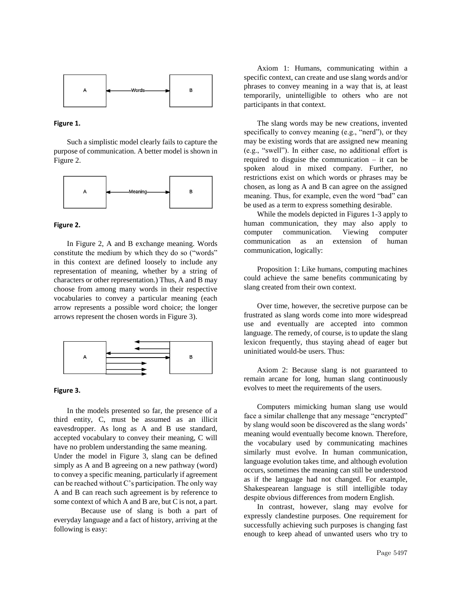

#### **Figure 1.**

Such a simplistic model clearly fails to capture the purpose of communication. A better model is shown in Figure 2.



#### **Figure 2.**

In Figure 2, A and B exchange meaning. Words constitute the medium by which they do so ("words" in this context are defined loosely to include any representation of meaning, whether by a string of characters or other representation.) Thus, A and B may choose from among many words in their respective vocabularies to convey a particular meaning (each arrow represents a possible word choice; the longer arrows represent the chosen words in Figure 3).



#### **Figure 3.**

In the models presented so far, the presence of a third entity, C, must be assumed as an illicit eavesdropper. As long as A and B use standard, accepted vocabulary to convey their meaning, C will have no problem understanding the same meaning.

Under the model in Figure 3, slang can be defined simply as A and B agreeing on a new pathway (word) to convey a specific meaning, particularly if agreement can be reached without C's participation. The only way A and B can reach such agreement is by reference to some context of which A and B are, but C is not, a part.

Because use of slang is both a part of everyday language and a fact of history, arriving at the following is easy:

Axiom 1: Humans, communicating within a specific context, can create and use slang words and/or phrases to convey meaning in a way that is, at least temporarily, unintelligible to others who are not participants in that context.

The slang words may be new creations, invented specifically to convey meaning (e.g., "nerd"), or they may be existing words that are assigned new meaning (e.g., "swell"). In either case, no additional effort is required to disguise the communication – it can be spoken aloud in mixed company. Further, no restrictions exist on which words or phrases may be chosen, as long as A and B can agree on the assigned meaning. Thus, for example, even the word "bad" can be used as a term to express something desirable.

While the models depicted in Figures 1-3 apply to human communication, they may also apply to computer communication. Viewing computer communication as an extension of human communication, logically:

Proposition 1: Like humans, computing machines could achieve the same benefits communicating by slang created from their own context.

Over time, however, the secretive purpose can be frustrated as slang words come into more widespread use and eventually are accepted into common language. The remedy, of course, is to update the slang lexicon frequently, thus staying ahead of eager but uninitiated would-be users. Thus:

Axiom 2: Because slang is not guaranteed to remain arcane for long, human slang continuously evolves to meet the requirements of the users.

Computers mimicking human slang use would face a similar challenge that any message "encrypted" by slang would soon be discovered as the slang words' meaning would eventually become known. Therefore, the vocabulary used by communicating machines similarly must evolve. In human communication, language evolution takes time, and although evolution occurs, sometimes the meaning can still be understood as if the language had not changed. For example, Shakespearean language is still intelligible today despite obvious differences from modern English.

In contrast, however, slang may evolve for expressly clandestine purposes. One requirement for successfully achieving such purposes is changing fast enough to keep ahead of unwanted users who try to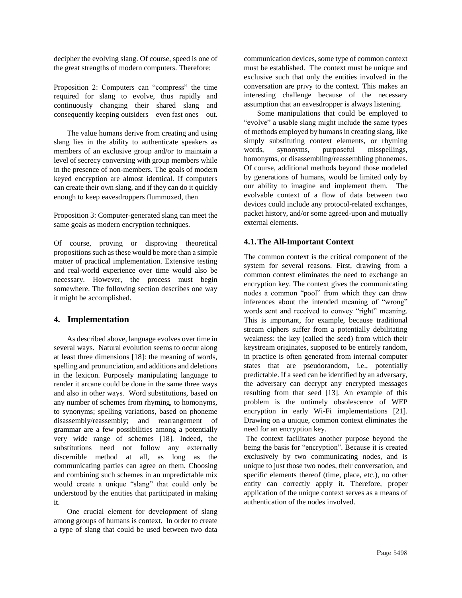decipher the evolving slang. Of course, speed is one of the great strengths of modern computers. Therefore:

Proposition 2: Computers can "compress" the time required for slang to evolve, thus rapidly and continuously changing their shared slang and consequently keeping outsiders – even fast ones – out.

The value humans derive from creating and using slang lies in the ability to authenticate speakers as members of an exclusive group and/or to maintain a level of secrecy conversing with group members while in the presence of non-members. The goals of modern keyed encryption are almost identical. If computers can create their own slang, and if they can do it quickly enough to keep eavesdroppers flummoxed, then

Proposition 3: Computer-generated slang can meet the same goals as modern encryption techniques.

Of course, proving or disproving theoretical propositions such as these would be more than a simple matter of practical implementation. Extensive testing and real-world experience over time would also be necessary. However, the process must begin somewhere. The following section describes one way it might be accomplished.

### **4. Implementation**

As described above, language evolves over time in several ways. Natural evolution seems to occur along at least three dimensions [18]: the meaning of words, spelling and pronunciation, and additions and deletions in the lexicon. Purposely manipulating language to render it arcane could be done in the same three ways and also in other ways. Word substitutions, based on any number of schemes from rhyming, to homonyms, to synonyms; spelling variations, based on phoneme disassembly/reassembly; and rearrangement of grammar are a few possibilities among a potentially very wide range of schemes [18]. Indeed, the substitutions need not follow any externally discernible method at all, as long as the communicating parties can agree on them. Choosing and combining such schemes in an unpredictable mix would create a unique "slang" that could only be understood by the entities that participated in making it.

One crucial element for development of slang among groups of humans is context. In order to create a type of slang that could be used between two data

communication devices, some type of common context must be established. The context must be unique and exclusive such that only the entities involved in the conversation are privy to the context. This makes an interesting challenge because of the necessary assumption that an eavesdropper is always listening.

Some manipulations that could be employed to "evolve" a usable slang might include the same types of methods employed by humans in creating slang, like simply substituting context elements, or rhyming words, synonyms, purposeful misspellings, homonyms, or disassembling/reassembling phonemes. Of course, additional methods beyond those modeled by generations of humans, would be limited only by our ability to imagine and implement them. The evolvable context of a flow of data between two devices could include any protocol-related exchanges, packet history, and/or some agreed-upon and mutually external elements.

### **4.1.The All-Important Context**

The common context is the critical component of the system for several reasons. First, drawing from a common context eliminates the need to exchange an encryption key. The context gives the communicating nodes a common "pool" from which they can draw inferences about the intended meaning of "wrong" words sent and received to convey "right" meaning. This is important, for example, because traditional stream ciphers suffer from a potentially debilitating weakness: the key (called the seed) from which their keystream originates, supposed to be entirely random, in practice is often generated from internal computer states that are pseudorandom, i.e., potentially predictable. If a seed can be identified by an adversary, the adversary can decrypt any encrypted messages resulting from that seed [13]. An example of this problem is the untimely obsolescence of WEP encryption in early Wi-Fi implementations [21]. Drawing on a unique, common context eliminates the need for an encryption key.

The context facilitates another purpose beyond the being the basis for "encryption". Because it is created exclusively by two communicating nodes, and is unique to just those two nodes, their conversation, and specific elements thereof (time, place, etc.), no other entity can correctly apply it. Therefore, proper application of the unique context serves as a means of authentication of the nodes involved.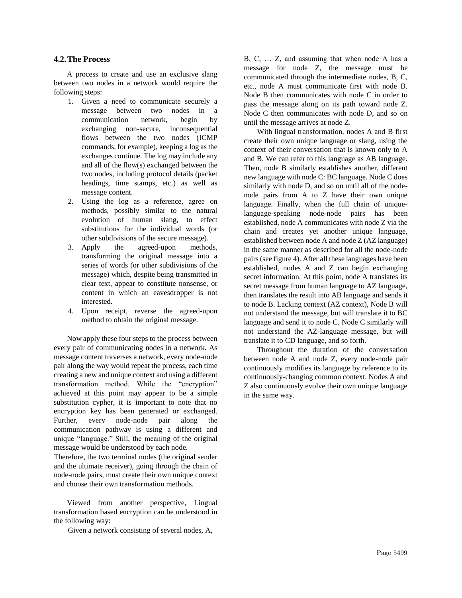#### **4.2.The Process**

A process to create and use an exclusive slang between two nodes in a network would require the following steps:

- 1. Given a need to communicate securely a message between two nodes in a communication network, begin by exchanging non-secure, inconsequential flows between the two nodes (ICMP commands, for example), keeping a log as the exchanges continue. The log may include any and all of the flow(s) exchanged between the two nodes, including protocol details (packet headings, time stamps, etc.) as well as message content.
- 2. Using the log as a reference, agree on methods, possibly similar to the natural evolution of human slang, to effect substitutions for the individual words (or other subdivisions of the secure message).
- 3. Apply the agreed-upon methods, transforming the original message into a series of words (or other subdivisions of the message) which, despite being transmitted in clear text, appear to constitute nonsense, or content in which an eavesdropper is not interested.
- 4. Upon receipt, reverse the agreed-upon method to obtain the original message.

Now apply these four steps to the process between every pair of communicating nodes in a network. As message content traverses a network, every node-node pair along the way would repeat the process, each time creating a new and unique context and using a different transformation method. While the "encryption" achieved at this point may appear to be a simple substitution cypher, it is important to note that no encryption key has been generated or exchanged. Further, every node-node pair along the communication pathway is using a different and unique "language." Still, the meaning of the original message would be understood by each node.

Therefore, the two terminal nodes (the original sender and the ultimate receiver), going through the chain of node-node pairs, must create their own unique context and choose their own transformation methods.

Viewed from another perspective, Lingual transformation based encryption can be understood in the following way:

Given a network consisting of several nodes, A,

B, C, … Z, and assuming that when node A has a message for node Z, the message must be communicated through the intermediate nodes, B, C, etc., node A must communicate first with node B. Node B then communicates with node C in order to pass the message along on its path toward node Z. Node C then communicates with node D, and so on until the message arrives at node Z.

With lingual transformation, nodes A and B first create their own unique language or slang, using the context of their conversation that is known only to A and B. We can refer to this language as AB language. Then, node B similarly establishes another, different new language with node C: BC language. Node C does similarly with node D, and so on until all of the nodenode pairs from A to Z have their own unique language. Finally, when the full chain of uniquelanguage-speaking node-node pairs has been established, node A communicates with node Z via the chain and creates yet another unique language, established between node A and node Z (AZ language) in the same manner as described for all the node-node pairs (see figure 4). After all these languages have been established, nodes A and Z can begin exchanging secret information. At this point, node A translates its secret message from human language to AZ language, then translates the result into AB language and sends it to node B. Lacking context (AZ context), Node B will not understand the message, but will translate it to BC language and send it to node C. Node C similarly will not understand the AZ-language message, but will translate it to CD language, and so forth.

Throughout the duration of the conversation between node A and node Z, every node-node pair continuously modifies its language by reference to its continuously-changing common context. Nodes A and Z also continuously evolve their own unique language in the same way.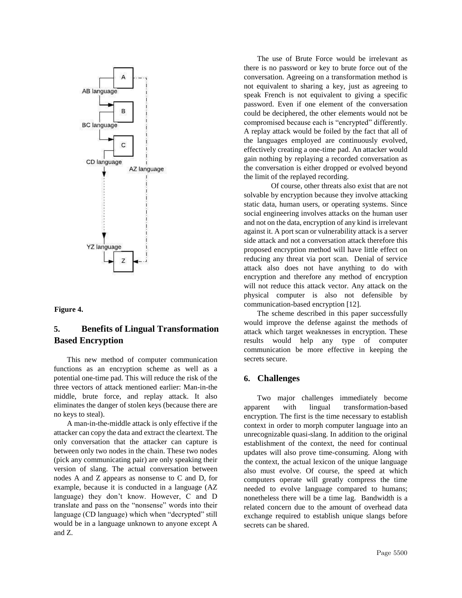

#### **Figure 4.**

## **5. Benefits of Lingual Transformation Based Encryption**

This new method of computer communication functions as an encryption scheme as well as a potential one-time pad. This will reduce the risk of the three vectors of attack mentioned earlier: Man-in-the middle, brute force, and replay attack. It also eliminates the danger of stolen keys (because there are no keys to steal).

A man-in-the-middle attack is only effective if the attacker can copy the data and extract the cleartext. The only conversation that the attacker can capture is between only two nodes in the chain. These two nodes (pick any communicating pair) are only speaking their version of slang. The actual conversation between nodes A and Z appears as nonsense to C and D, for example, because it is conducted in a language (AZ language) they don't know. However, C and D translate and pass on the "nonsense" words into their language (CD language) which when "decrypted" still would be in a language unknown to anyone except A and Z.

The use of Brute Force would be irrelevant as there is no password or key to brute force out of the conversation. Agreeing on a transformation method is not equivalent to sharing a key, just as agreeing to speak French is not equivalent to giving a specific password. Even if one element of the conversation could be deciphered, the other elements would not be compromised because each is "encrypted" differently. A replay attack would be foiled by the fact that all of the languages employed are continuously evolved, effectively creating a one-time pad. An attacker would gain nothing by replaying a recorded conversation as the conversation is either dropped or evolved beyond the limit of the replayed recording.

Of course, other threats also exist that are not solvable by encryption because they involve attacking static data, human users, or operating systems. Since social engineering involves attacks on the human user and not on the data, encryption of any kind is irrelevant against it. A port scan or vulnerability attack is a server side attack and not a conversation attack therefore this proposed encryption method will have little effect on reducing any threat via port scan. Denial of service attack also does not have anything to do with encryption and therefore any method of encryption will not reduce this attack vector. Any attack on the physical computer is also not defensible by communication-based encryption [12].

The scheme described in this paper successfully would improve the defense against the methods of attack which target weaknesses in encryption. These results would help any type of computer communication be more effective in keeping the secrets secure.

### **6. Challenges**

Two major challenges immediately become apparent with lingual transformation-based encryption. The first is the time necessary to establish context in order to morph computer language into an unrecognizable quasi-slang. In addition to the original establishment of the context, the need for continual updates will also prove time-consuming. Along with the context, the actual lexicon of the unique language also must evolve. Of course, the speed at which computers operate will greatly compress the time needed to evolve language compared to humans; nonetheless there will be a time lag. Bandwidth is a related concern due to the amount of overhead data exchange required to establish unique slangs before secrets can be shared.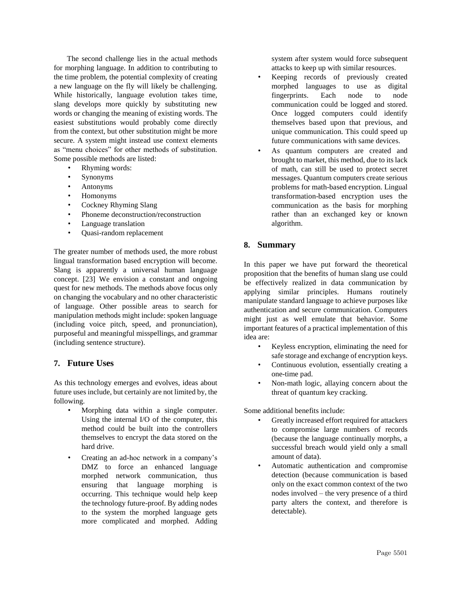The second challenge lies in the actual methods for morphing language. In addition to contributing to the time problem, the potential complexity of creating a new language on the fly will likely be challenging. While historically, language evolution takes time, slang develops more quickly by substituting new words or changing the meaning of existing words. The easiest substitutions would probably come directly from the context, but other substitution might be more secure. A system might instead use context elements as "menu choices" for other methods of substitution. Some possible methods are listed:

- Rhyming words:
- Synonyms
- Antonyms
- Homonyms
- Cockney Rhyming Slang
- Phoneme deconstruction/reconstruction
- Language translation
- Quasi-random replacement

The greater number of methods used, the more robust lingual transformation based encryption will become. Slang is apparently a universal human language concept. [23] We envision a constant and ongoing quest for new methods. The methods above focus only on changing the vocabulary and no other characteristic of language. Other possible areas to search for manipulation methods might include: spoken language (including voice pitch, speed, and pronunciation), purposeful and meaningful misspellings, and grammar (including sentence structure).

## **7. Future Uses**

As this technology emerges and evolves, ideas about future uses include, but certainly are not limited by, the following.

- Morphing data within a single computer. Using the internal I/O of the computer, this method could be built into the controllers themselves to encrypt the data stored on the hard drive.
- Creating an ad-hoc network in a company's DMZ to force an enhanced language morphed network communication, thus ensuring that language morphing is occurring. This technique would help keep the technology future-proof. By adding nodes to the system the morphed language gets more complicated and morphed. Adding

system after system would force subsequent attacks to keep up with similar resources.

- Keeping records of previously created morphed languages to use as digital fingerprints. Each node to node communication could be logged and stored. Once logged computers could identify themselves based upon that previous, and unique communication. This could speed up future communications with same devices.
- As quantum computers are created and brought to market, this method, due to its lack of math, can still be used to protect secret messages. Quantum computers create serious problems for math-based encryption. Lingual transformation-based encryption uses the communication as the basis for morphing rather than an exchanged key or known algorithm.

## **8. Summary**

In this paper we have put forward the theoretical proposition that the benefits of human slang use could be effectively realized in data communication by applying similar principles. Humans routinely manipulate standard language to achieve purposes like authentication and secure communication. Computers might just as well emulate that behavior. Some important features of a practical implementation of this idea are:

- Keyless encryption, eliminating the need for safe storage and exchange of encryption keys.
- Continuous evolution, essentially creating a one-time pad.
- Non-math logic, allaying concern about the threat of quantum key cracking.

Some additional benefits include:

- Greatly increased effort required for attackers to compromise large numbers of records (because the language continually morphs, a successful breach would yield only a small amount of data).
- Automatic authentication and compromise detection (because communication is based only on the exact common context of the two nodes involved – the very presence of a third party alters the context, and therefore is detectable).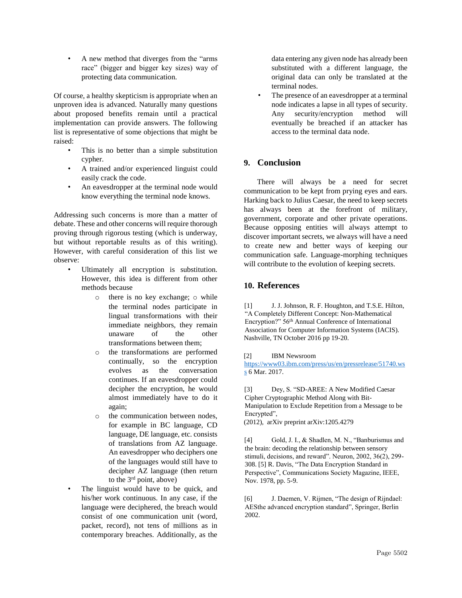• A new method that diverges from the "arms race" (bigger and bigger key sizes) way of protecting data communication.

Of course, a healthy skepticism is appropriate when an unproven idea is advanced. Naturally many questions about proposed benefits remain until a practical implementation can provide answers. The following list is representative of some objections that might be raised:

- This is no better than a simple substitution cypher.
- A trained and/or experienced linguist could easily crack the code.
- An eavesdropper at the terminal node would know everything the terminal node knows.

Addressing such concerns is more than a matter of debate. These and other concerns will require thorough proving through rigorous testing (which is underway, but without reportable results as of this writing). However, with careful consideration of this list we observe:

- Ultimately all encryption is substitution. However, this idea is different from other methods because
	- o there is no key exchange; o while the terminal nodes participate in lingual transformations with their immediate neighbors, they remain unaware of the other transformations between them;
	- o the transformations are performed continually, so the encryption evolves as the conversation continues. If an eavesdropper could decipher the encryption, he would almost immediately have to do it again;
	- o the communication between nodes, for example in BC language, CD language, DE language, etc. consists of translations from AZ language. An eavesdropper who deciphers one of the languages would still have to decipher AZ language (then return to the  $3<sup>rd</sup>$  point, above)
- The linguist would have to be quick, and his/her work continuous. In any case, if the language were deciphered, the breach would consist of one communication unit (word, packet, record), not tens of millions as in contemporary breaches. Additionally, as the

data entering any given node has already been substituted with a different language, the original data can only be translated at the terminal nodes.

The presence of an eavesdropper at a terminal node indicates a lapse in all types of security. Any security/encryption method will eventually be breached if an attacker has access to the terminal data node.

## **9. Conclusion**

There will always be a need for secret communication to be kept from prying eyes and ears. Harking back to Julius Caesar, the need to keep secrets has always been at the forefront of military, government, corporate and other private operations. Because opposing entities will always attempt to discover important secrets, we always will have a need to create new and better ways of keeping our communication safe. Language-morphing techniques will contribute to the evolution of keeping secrets.

## **10. References**

[1] J. J. Johnson, R. F. Houghton, and T.S.E. Hilton, "A Completely Different Concept: Non-Mathematical Encryption?" 56th Annual Conference of International Association for Computer Information Systems (IACIS). Nashville, TN October 2016 pp 19-20.

#### [2] IBM Newsroom

[https://www03.ibm.com/press/us/en/pressrelease/51740.ws](https://www-03.ibm.com/press/us/en/pressrelease/51740.wss) [s](https://www-03.ibm.com/press/us/en/pressrelease/51740.wss) [6](https://www-03.ibm.com/press/us/en/pressrelease/51740.wss) Mar. 2017.

[3] Dey, S. "SD-AREE: A New Modified Caesar Cipher Cryptographic Method Along with Bit-Manipulation to Exclude Repetition from a Message to be Encrypted",

(2012), arXiv preprint arXiv:1205.4279

[4] Gold, J. I., & Shadlen, M. N., "Banburismus and the brain: decoding the relationship between sensory stimuli, decisions, and reward". Neuron, 2002, 36(2), 299- 308. [5] R. Davis, "The Data Encryption Standard in Perspective", Communications Society Magazine, IEEE, Nov. 1978, pp. 5-9.

[6] J. Daemen, V. Rijmen, "The design of Rijndael: AESthe advanced encryption standard", Springer, Berlin 2002.